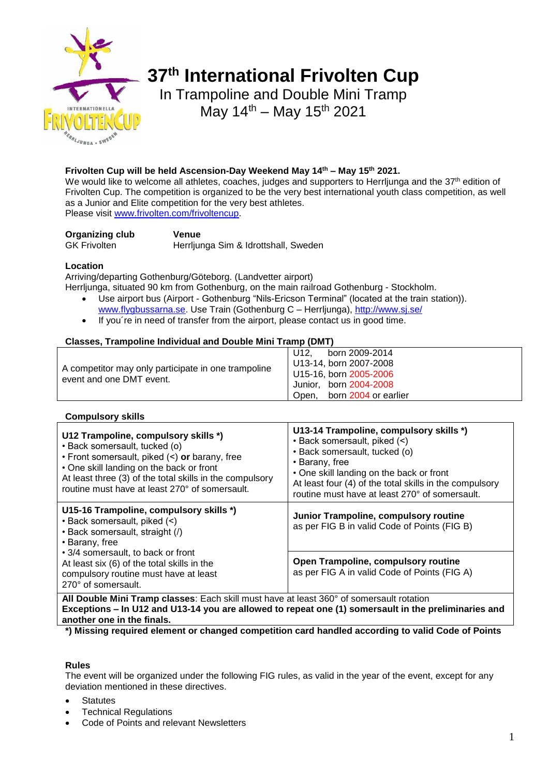

# **37 th International Frivolten Cup**

In Trampoline and Double Mini Tramp May  $14^{th}$  – May  $15^{th}$  2021

# **Frivolten Cup will be held Ascension-Day Weekend May 14th – May 15th 2021.**

We would like to welcome all athletes, coaches, judges and supporters to Herrljunga and the 37<sup>th</sup> edition of Frivolten Cup. The competition is organized to be the very best international youth class competition, as well as a Junior and Elite competition for the very best athletes. Please visit [www.frivolten.com/frivoltencup.](http://www.frivolten.com/frivoltencup) 

**Organizing club Venue**

GK Frivolten Herrljunga Sim & Idrottshall, Sweden

# **Location**

Arriving/departing Gothenburg/Göteborg. (Landvetter airport)

- Herrljunga, situated 90 km from Gothenburg, on the main railroad Gothenburg Stockholm.
	- Use airport bus (Airport Gothenburg "Nils-Ericson Terminal" (located at the train station)). [www.flygbussarna.se.](http://www.flygbussarna.se/) Use Train (Gothenburg C – Herrljunga),<http://www.sj.se/>
	- If you´re in need of transfer from the airport, please contact us in good time.

# **Classes, Trampoline Individual and Double Mini Tramp (DMT)**

|                                                     | U <sub>12</sub><br>born 2009-2014 |
|-----------------------------------------------------|-----------------------------------|
|                                                     | U13-14, born 2007-2008            |
| A competitor may only participate in one trampoline | U15-16, born 2005-2006            |
| event and one DMT event.                            | Junior, born 2004-2008            |
|                                                     | Open, born 2004 or earlier        |

# **Compulsory skills**

| U12 Trampoline, compulsory skills *)<br>• Back somersault, tucked (o)<br>• Front somersault, piked $($ ) or barany, free<br>• One skill landing on the back or front<br>At least three (3) of the total skills in the compulsory<br>routine must have at least 270° of somersault. | U13-14 Trampoline, compulsory skills *)<br>• Back somersault, piked (<)<br>• Back somersault, tucked (o)<br>• Barany, free<br>• One skill landing on the back or front<br>At least four (4) of the total skills in the compulsory<br>routine must have at least 270° of somersault. |  |
|------------------------------------------------------------------------------------------------------------------------------------------------------------------------------------------------------------------------------------------------------------------------------------|-------------------------------------------------------------------------------------------------------------------------------------------------------------------------------------------------------------------------------------------------------------------------------------|--|
| U15-16 Trampoline, compulsory skills *)<br>• Back somersault, piked (<)<br>• Back somersault, straight (/)<br>• Barany, free<br>• 3/4 somersault, to back or front<br>At least six (6) of the total skills in the<br>compulsory routine must have at least<br>270° of somersault.  | Junior Trampoline, compulsory routine<br>as per FIG B in valid Code of Points (FIG B)                                                                                                                                                                                               |  |
|                                                                                                                                                                                                                                                                                    | Open Trampoline, compulsory routine<br>as per FIG A in valid Code of Points (FIG A)                                                                                                                                                                                                 |  |
| All Double Mini Tramp classes: Each skill must have at least 360° of somersault rotation                                                                                                                                                                                           |                                                                                                                                                                                                                                                                                     |  |

**Exceptions – In U12 and U13-14 you are allowed to repeat one (1) somersault in the preliminaries and another one in the finals.**

**\*) Missing required element or changed competition card handled according to valid Code of Points**

# **Rules**

The event will be organized under the following FIG rules, as valid in the year of the event, except for any deviation mentioned in these directives.

- **Statutes**
- Technical Regulations
- Code of Points and relevant Newsletters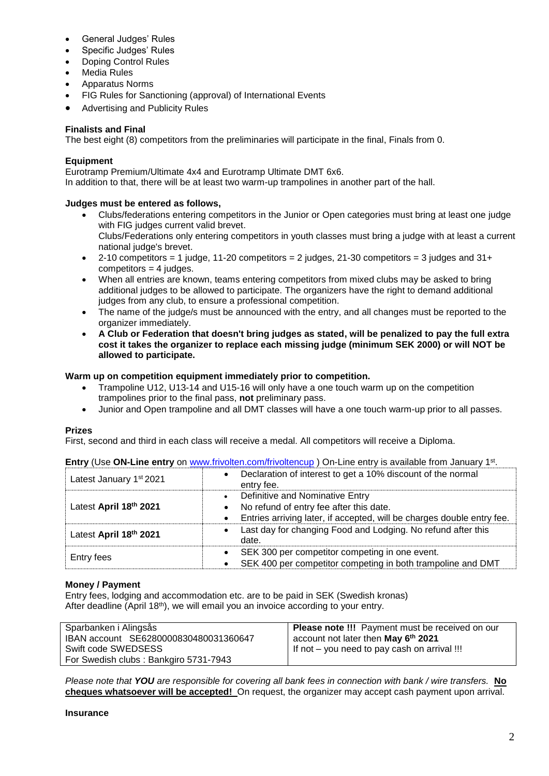- General Judges' Rules
- Specific Judges' Rules
- Doping Control Rules
- Media Rules
- Apparatus Norms
- FIG Rules for Sanctioning (approval) of International Events
- Advertising and Publicity Rules

# **Finalists and Final**

The best eight (8) competitors from the preliminaries will participate in the final, Finals from 0.

# **Equipment**

Eurotramp Premium/Ultimate 4x4 and Eurotramp Ultimate DMT 6x6. In addition to that, there will be at least two warm-up trampolines in another part of the hall.

# **Judges must be entered as follows,**

- Clubs/federations entering competitors in the Junior or Open categories must bring at least one judge with FIG judges current valid brevet. Clubs/Federations only entering competitors in youth classes must bring a judge with at least a current national judge's brevet.
- 2-10 competitors = 1 judge, 11-20 competitors = 2 judges, 21-30 competitors = 3 judges and  $31+$ competitors = 4 judges.
- When all entries are known, teams entering competitors from mixed clubs may be asked to bring additional judges to be allowed to participate. The organizers have the right to demand additional judges from any club, to ensure a professional competition.
- The name of the judge/s must be announced with the entry, and all changes must be reported to the organizer immediately.
- **A Club or Federation that doesn't bring judges as stated, will be penalized to pay the full extra cost it takes the organizer to replace each missing judge (minimum SEK 2000) or will NOT be allowed to participate.**

#### **Warm up on competition equipment immediately prior to competition.**

- Trampoline U12, U13-14 and U15-16 will only have a one touch warm up on the competition trampolines prior to the final pass, **not** preliminary pass.
- Junior and Open trampoline and all DMT classes will have a one touch warm-up prior to all passes.

# **Prizes**

First, second and third in each class will receive a medal. All competitors will receive a Diploma.

| <b>ETHEY (OUG ON ETHE GINTY OFF WWW.ITTVOIGHT/HITVOIGHOUP</b> ) ON ETHE GINTY TO AVAILABLE HOM OUTIGALLY TEXT |                                                                                                                                                                                |  |  |
|---------------------------------------------------------------------------------------------------------------|--------------------------------------------------------------------------------------------------------------------------------------------------------------------------------|--|--|
| Latest January 1 <sup>st</sup> 2021                                                                           | Declaration of interest to get a 10% discount of the normal<br>$\bullet$<br>entry fee.                                                                                         |  |  |
| Latest April 18th 2021                                                                                        | Definitive and Nominative Entry<br>$\bullet$<br>No refund of entry fee after this date.<br>Entries arriving later, if accepted, will be charges double entry fee.<br>$\bullet$ |  |  |
| Latest April 18th 2021                                                                                        | Last day for changing Food and Lodging. No refund after this<br>date.                                                                                                          |  |  |
| Entry fees                                                                                                    | SEK 300 per competitor competing in one event.<br>SEK 400 per competitor competing in both trampoline and DMT                                                                  |  |  |

**Entry** (Use ON-Line entry on [www.frivolten.com/frivoltencup](http://www.frivolten.com/frivoltencup)) On-Line entry is available from January 1<sup>st</sup>.

#### **Money / Payment**

Entry fees, lodging and accommodation etc. are to be paid in SEK (Swedish kronas) After deadline (April 18<sup>th</sup>), we will email you an invoice according to your entry.

| Sparbanken i Alingsås<br>IBAN account SE6280000830480031360647 | Please note !!! Payment must be received on our<br>account not later then May 6th 2021 |
|----------------------------------------------------------------|----------------------------------------------------------------------------------------|
| Swift code SWEDSESS                                            | If not – you need to pay cash on arrival !!!                                           |
| For Swedish clubs: Bankgiro 5731-7943                          |                                                                                        |

*Please note that YOU are responsible for covering all bank fees in connection with bank / wire transfers.* **No cheques whatsoever will be accepted!** On request, the organizer may accept cash payment upon arrival.

#### **Insurance**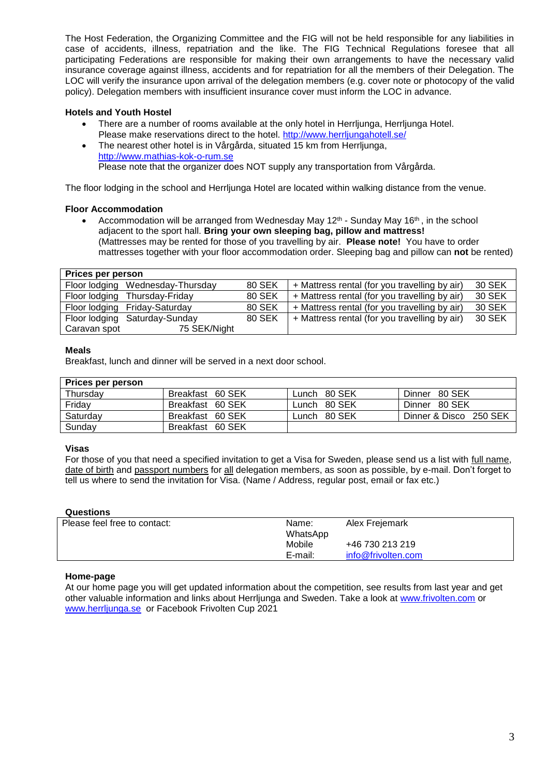The Host Federation, the Organizing Committee and the FIG will not be held responsible for any liabilities in case of accidents, illness, repatriation and the like. The FIG Technical Regulations foresee that all participating Federations are responsible for making their own arrangements to have the necessary valid insurance coverage against illness, accidents and for repatriation for all the members of their Delegation. The LOC will verify the insurance upon arrival of the delegation members (e.g. cover note or photocopy of the valid policy). Delegation members with insufficient insurance cover must inform the LOC in advance.

# **Hotels and Youth Hostel**

- There are a number of rooms available at the only hotel in Herrljunga, Herrljunga Hotel.
- Please make reservations direct to the hotel. <http://www.herrljungahotell.se/> • The nearest other hotel is in Vårgårda, situated 15 km from Herrliunga, http://www.mathias-kok-o-rum.se Please note that the organizer does NOT supply any transportation from Vårgårda.

The floor lodging in the school and Herrljunga Hotel are located within walking distance from the venue.

#### **Floor Accommodation**

Accommodation will be arranged from Wednesday May  $12<sup>th</sup>$  - Sunday May  $16<sup>th</sup>$ , in the school adjacent to the sport hall. **Bring your own sleeping bag, pillow and mattress!** (Mattresses may be rented for those of you travelling by air. **Please note!** You have to order mattresses together with your floor accommodation order. Sleeping bag and pillow can **not** be rented)

| <b>Prices per person</b>         |               |                                               |        |
|----------------------------------|---------------|-----------------------------------------------|--------|
| Floor lodging Wednesday-Thursday | 80 SEK        | + Mattress rental (for you travelling by air) | 30 SEK |
| Floor lodging Thursday-Friday    | 80 SEK        | + Mattress rental (for you travelling by air) | 30 SEK |
| Floor lodging Friday-Saturday    | 80 SEK        | + Mattress rental (for you travelling by air) | 30 SEK |
| Floor lodging Saturday-Sunday    | <b>80 SEK</b> | + Mattress rental (for you travelling by air) | 30 SEK |
| 75 SEK/Night<br>Caravan spot     |               |                                               |        |

#### **Meals**

Breakfast, lunch and dinner will be served in a next door school.

# **Prices per person**

| THUYY NOT NOT SUIT |                  |              |                        |
|--------------------|------------------|--------------|------------------------|
| Thursday           | Breakfast 60 SEK | Lunch 80 SEK | Dinner 80 SEK          |
| Friday             | Breakfast 60 SEK | Lunch 80 SEK | Dinner 80 SEK          |
| Saturdav           | Breakfast 60 SEK | Lunch 80 SEK | Dinner & Disco 250 SEK |
| Sundav             | Breakfast 60 SEK |              |                        |

#### **Visas**

For those of you that need a specified invitation to get a Visa for Sweden, please send us a list with full name, date of birth and passport numbers for all delegation members, as soon as possible, by e-mail. Don't forget to tell us where to send the invitation for Visa. (Name / Address, regular post, email or fax etc.)

#### **Questions**

| Please feel free to contact: | Name:    | Alex Frejemark     |
|------------------------------|----------|--------------------|
|                              | WhatsApp |                    |
|                              | Mobile   | +46 730 213 219    |
|                              | E-mail:  | info@frivolten.com |

#### **Home-page**

At our home page you will get updated information about the competition, see results from last year and get other valuable information and links about Herrljunga and Sweden. Take a look at [www.frivolten.com](http://www.frivolten.com/) or [www.herrljunga.se](http://www.herrljunga.se/) or Facebook Frivolten Cup 2021